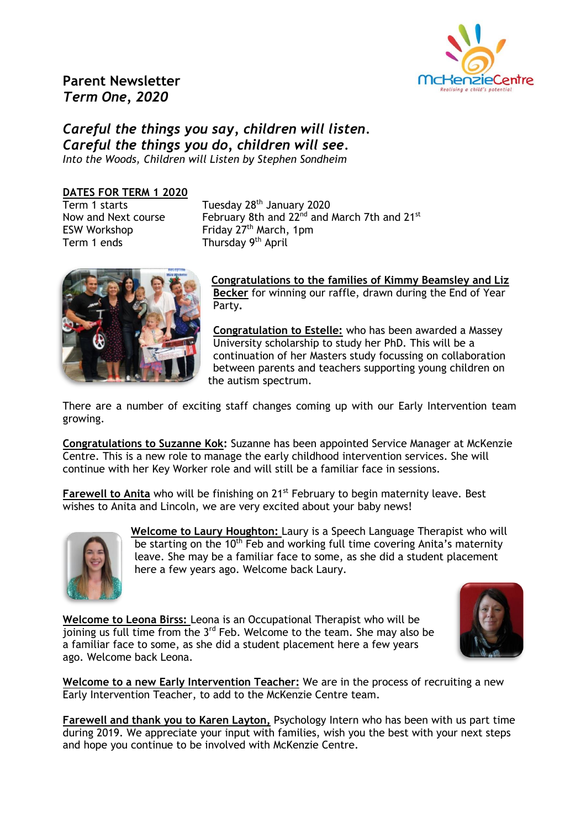

# **Parent Newsletter** *Term One, 2020*

# *Careful the things you say, children will listen. Careful the things you do, children will see. Into the Woods, Children will Listen by Stephen Sondheim*

#### **DATES FOR TERM 1 2020**

 $Term 1 stars$ Term 1 ends Thursday 9<sup>th</sup> April

Tuesday 28<sup>th</sup> January 2020 Now and Next course February 8th and 22<sup>nd</sup> and March 7th and 21<sup>st</sup> ESW Workshop  $\qquad \qquad$  Friday  $27<sup>th</sup>$  March, 1pm



**Congratulations to the families of Kimmy Beamsley and Liz Becker** for winning our raffle, drawn during the End of Year Party**.**

**Congratulation to Estelle:** who has been awarded a Massey University scholarship to study her PhD. This will be a continuation of her Masters study focussing on collaboration between parents and teachers supporting young children on the autism spectrum.

There are a number of exciting staff changes coming up with our Early Intervention team growing.

**Congratulations to Suzanne Kok:** Suzanne has been appointed Service Manager at McKenzie Centre. This is a new role to manage the early childhood intervention services. She will continue with her Key Worker role and will still be a familiar face in sessions.

**Farewell to Anita** who will be finishing on 21<sup>st</sup> February to begin maternity leave. Best wishes to Anita and Lincoln, we are very excited about your baby news!



**Welcome to Laury Houghton:** Laury is a Speech Language Therapist who will be starting on the 10<sup>th</sup> Feb and working full time covering Anita's maternity leave. She may be a familiar face to some, as she did a student placement here a few years ago. Welcome back Laury.

**Welcome to Leona Birss:** Leona is an Occupational Therapist who will be  $\overline{\mathbf{1}}$  ioining us full time from the 3<sup>rd</sup> Feb. Welcome to the team. She may also be a familiar face to some, as she did a student placement here a few years ago. Welcome back Leona.



**Welcome to a new Early Intervention Teacher:** We are in the process of recruiting a new Early Intervention Teacher, to add to the McKenzie Centre team.

**Farewell and thank you to Karen Layton,** Psychology Intern who has been with us part time during 2019. We appreciate your input with families, wish you the best with your next steps and hope you continue to be involved with McKenzie Centre.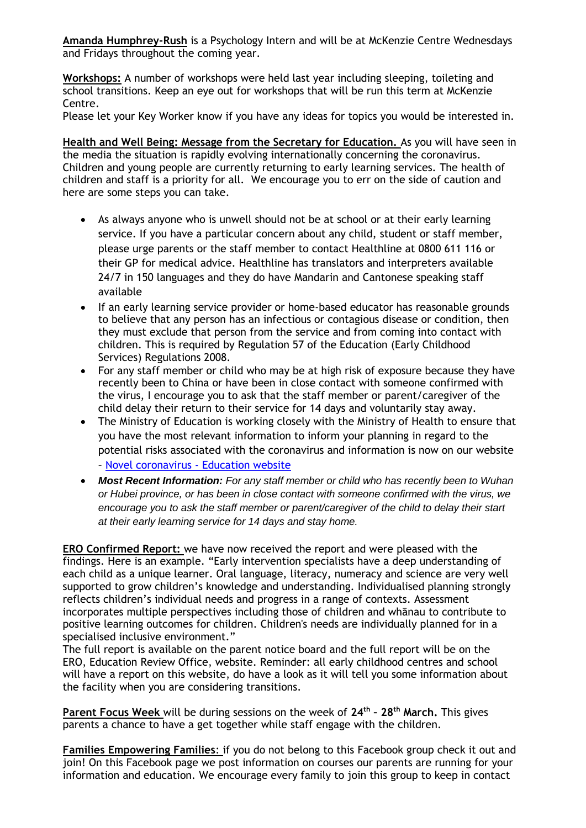**Amanda Humphrey-Rush** is a Psychology Intern and will be at McKenzie Centre Wednesdays and Fridays throughout the coming year.

**Workshops:** A number of workshops were held last year including sleeping, toileting and school transitions. Keep an eye out for workshops that will be run this term at McKenzie Centre.

Please let your Key Worker know if you have any ideas for topics you would be interested in.

**Health and Well Being: Message from the Secretary for Education.** As you will have seen in the media the situation is rapidly evolving internationally concerning the coronavirus. Children and young people are currently returning to early learning services. The health of children and staff is a priority for all. We encourage you to err on the side of caution and here are some steps you can take.

- As always anyone who is unwell should not be at school or at their early learning service. If you have a particular concern about any child, student or staff member, please urge parents or the staff member to contact Healthline at 0800 611 116 or their GP for medical advice. Healthline has translators and interpreters available 24/7 in 150 languages and they do have Mandarin and Cantonese speaking staff available
- If an early learning service provider or home-based educator has reasonable grounds to believe that any person has an infectious or contagious disease or condition, then they must exclude that person from the service and from coming into contact with children. This is required by Regulation 57 of the Education (Early Childhood Services) Regulations 2008.
- For any staff member or child who may be at high risk of exposure because they have recently been to China or have been in close contact with someone confirmed with the virus, I encourage you to ask that the staff member or parent/caregiver of the child delay their return to their service for 14 days and voluntarily stay away.
- The Ministry of Education is working closely with the Ministry of Health to ensure that you have the most relevant information to inform your planning in regard to the potential risks associated with the coronavirus and information is now on our website – [Novel coronavirus -](https://govt.us10.list-manage.com/track/click?u=373954a1e5499801180060837&id=13399ee542&e=a42880ca37) Education website
- *Most Recent Information: For any staff member or child who has recently been to Wuhan or Hubei province, or has been in close contact with someone confirmed with the virus, we encourage you to ask the staff member or parent/caregiver of the child to delay their start at their early learning service for 14 days and stay home.*

**ERO Confirmed Report:** we have now received the report and were pleased with the findings. Here is an example. "Early intervention specialists have a deep understanding of each child as a unique learner. Oral language, literacy, numeracy and science are very well supported to grow children's knowledge and understanding. Individualised planning strongly reflects children's individual needs and progress in a range of contexts. Assessment incorporates multiple perspectives including those of children and whānau to contribute to positive learning outcomes for children. Children's needs are individually planned for in a specialised inclusive environment."

The full report is available on the parent notice board and the full report will be on the ERO, Education Review Office, website. Reminder: all early childhood centres and school will have a report on this website, do have a look as it will tell you some information about the facility when you are considering transitions.

**Parent Focus Week** will be during sessions on the week of **24th – 28th March.** This gives parents a chance to have a get together while staff engage with the children.

**Families Empowering Families**: if you do not belong to this Facebook group check it out and join! On this Facebook page we post information on courses our parents are running for your information and education. We encourage every family to join this group to keep in contact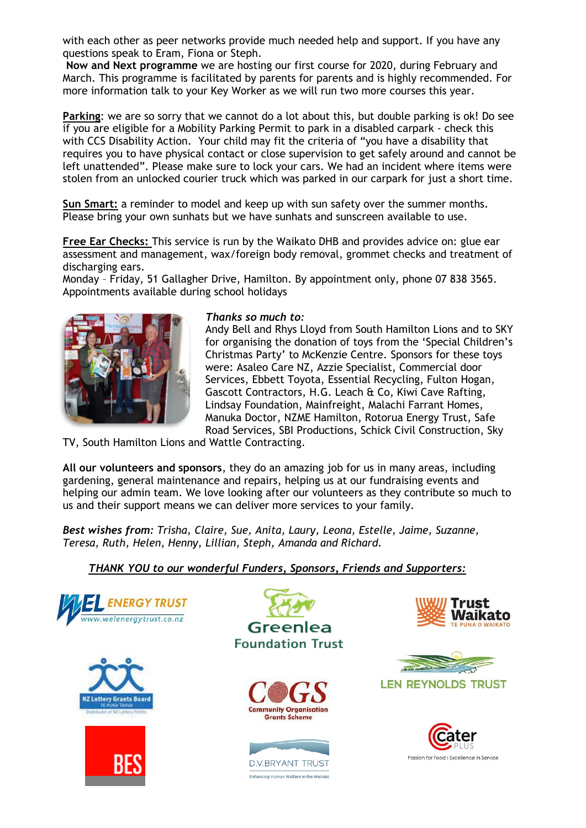with each other as peer networks provide much needed help and support. If you have any questions speak to Eram, Fiona or Steph.

**Now and Next programme** we are hosting our first course for 2020, during February and March. This programme is facilitated by parents for parents and is highly recommended. For more information talk to your Key Worker as we will run two more courses this year.

**Parking**: we are so sorry that we cannot do a lot about this, but double parking is ok! Do see if you are eligible for a Mobility Parking Permit to park in a disabled carpark - check this with CCS Disability Action. Your child may fit the criteria of "you have a disability that requires you to have physical contact or close supervision to get safely around and cannot be left unattended". Please make sure to lock your cars. We had an incident where items were stolen from an unlocked courier truck which was parked in our carpark for just a short time.

**Sun Smart:** a reminder to model and keep up with sun safety over the summer months. Please bring your own sunhats but we have sunhats and sunscreen available to use.

**Free Ear Checks:** This service is run by the Waikato DHB and provides advice on: glue ear assessment and management, wax/foreign body removal, grommet checks and treatment of discharging ears.

Monday – Friday, 51 Gallagher Drive, Hamilton. By appointment only, phone [07 838 3565.](tel:078383565) Appointments available during school holidays



#### *Thanks so much to:*

Andy Bell and Rhys Lloyd from South Hamilton Lions and to SKY for organising the donation of toys from the 'Special Children's Christmas Party' to McKenzie Centre. Sponsors for these toys were: Asaleo Care NZ, Azzie Specialist, Commercial door Services, Ebbett Toyota, Essential Recycling, Fulton Hogan, Gascott Contractors, H.G. Leach & Co, Kiwi Cave Rafting, Lindsay Foundation, Mainfreight, Malachi Farrant Homes, Manuka Doctor, NZME Hamilton, Rotorua Energy Trust, Safe Road Services, SBI Productions, Schick Civil Construction, Sky

TV, South Hamilton Lions and Wattle Contracting.

**All our volunteers and sponsors**, they do an amazing job for us in many areas, including gardening, general maintenance and repairs, helping us at our fundraising events and helping our admin team. We love looking after our volunteers as they contribute so much to us and their support means we can deliver more services to your family.

*Best wishes from: Trisha, Claire, Sue, Anita, Laury, Leona, Estelle, Jaime, Suzanne, Teresa, Ruth, Helen, Henny, Lillian, Steph, Amanda and Richard.*

### *THANK YOU to our wonderful Funders, Sponsors, Friends and Supporters:*













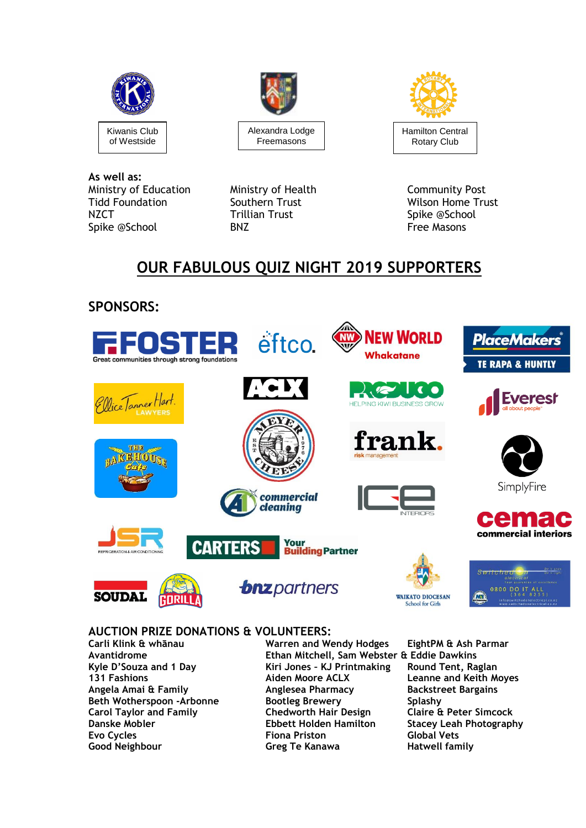





**As well as:** Ministry of Education Ministry of Health **Community Post**<br>Tidd Foundation Southern Trust Community Post Tidd Foundation **Southern Trust** Southern Trust Wilson Home Trust NZCT NET WELL TO THE TRILL TO THE TRILL TO THE T<br>
Soike @School Spike @School BNZ BNZ Free Masons

Spike @School

# **OUR FABULOUS QUIZ NIGHT 2019 SUPPORTERS**



# **AUCTION PRIZE DONATIONS & VOLUNTEERS:**

**Carli Klink & whānau Warren and Wendy Hodges EightPM & Ash Parmar Avantidrome Ethan Mitchell, Sam Webster & Eddie Dawkins Kyle D'Souza and 1 Day Kiri Jones – KJ Printmaking Round Tent, Raglan 131 Fashions Aiden Moore ACLX Leanne and Keith Moyes Angela Amai & Family Anglesea Pharmacy Backstreet Bargains Beth Wotherspoon -Arbonne Bootleg Brewery Splashy Carol Taylor and Family Chedworth Hair Design Claire & Peter Simcock Danske Mobler Ebbett Holden Hamilton Stacey Leah Photography Evo Cycles Fiona Priston Global Vets Good Neighbour Greg Te Kanawa Hatwell family**